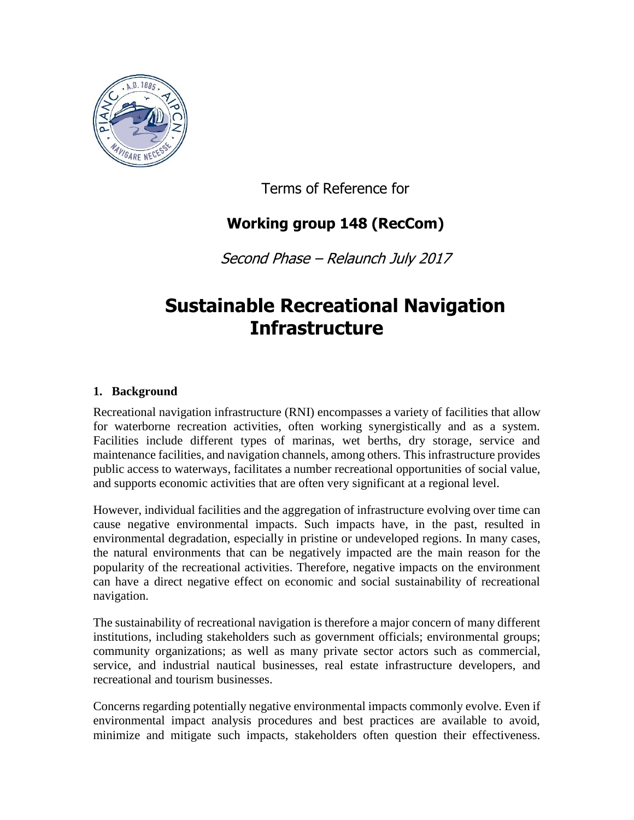

Terms of Reference for

# **Working group 148 (RecCom)**

Second Phase – Relaunch July 2017

# **Sustainable Recreational Navigation Infrastructure**

# **1. Background**

Recreational navigation infrastructure (RNI) encompasses a variety of facilities that allow for waterborne recreation activities, often working synergistically and as a system. Facilities include different types of marinas, wet berths, dry storage, service and maintenance facilities, and navigation channels, among others. This infrastructure provides public access to waterways, facilitates a number recreational opportunities of social value, and supports economic activities that are often very significant at a regional level.

However, individual facilities and the aggregation of infrastructure evolving over time can cause negative environmental impacts. Such impacts have, in the past, resulted in environmental degradation, especially in pristine or undeveloped regions. In many cases, the natural environments that can be negatively impacted are the main reason for the popularity of the recreational activities. Therefore, negative impacts on the environment can have a direct negative effect on economic and social sustainability of recreational navigation.

The sustainability of recreational navigation is therefore a major concern of many different institutions, including stakeholders such as government officials; environmental groups; community organizations; as well as many private sector actors such as commercial, service, and industrial nautical businesses, real estate infrastructure developers, and recreational and tourism businesses.

Concerns regarding potentially negative environmental impacts commonly evolve. Even if environmental impact analysis procedures and best practices are available to avoid, minimize and mitigate such impacts, stakeholders often question their effectiveness.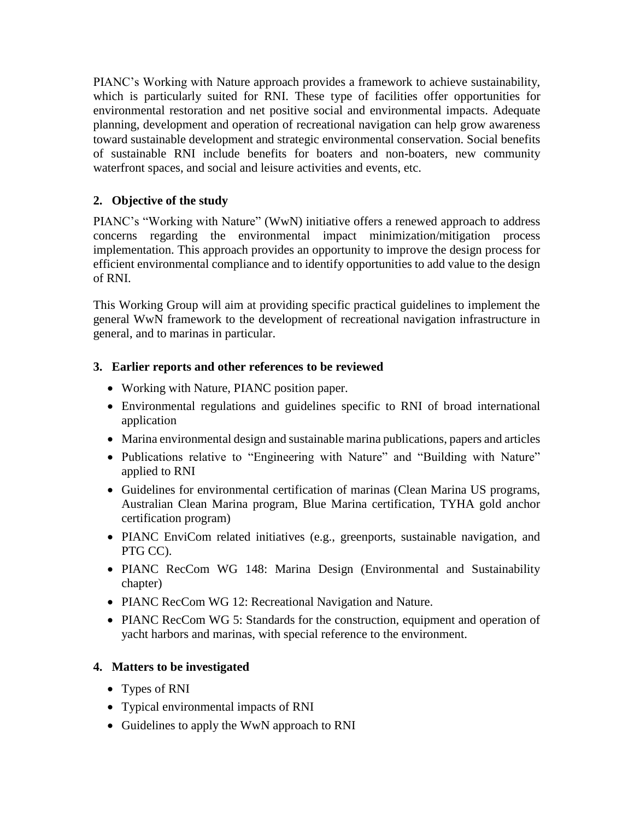PIANC's Working with Nature approach provides a framework to achieve sustainability, which is particularly suited for RNI. These type of facilities offer opportunities for environmental restoration and net positive social and environmental impacts. Adequate planning, development and operation of recreational navigation can help grow awareness toward sustainable development and strategic environmental conservation. Social benefits of sustainable RNI include benefits for boaters and non-boaters, new community waterfront spaces, and social and leisure activities and events, etc.

# **2. Objective of the study**

PIANC's "Working with Nature" (WwN) initiative offers a renewed approach to address concerns regarding the environmental impact minimization/mitigation process implementation. This approach provides an opportunity to improve the design process for efficient environmental compliance and to identify opportunities to add value to the design of RNI.

This Working Group will aim at providing specific practical guidelines to implement the general WwN framework to the development of recreational navigation infrastructure in general, and to marinas in particular.

# **3. Earlier reports and other references to be reviewed**

- Working with Nature, PIANC position paper.
- Environmental regulations and guidelines specific to RNI of broad international application
- Marina environmental design and sustainable marina publications, papers and articles
- Publications relative to "Engineering with Nature" and "Building with Nature" applied to RNI
- Guidelines for environmental certification of marinas (Clean Marina US programs, Australian Clean Marina program, Blue Marina certification, TYHA gold anchor certification program)
- PIANC EnviCom related initiatives (e.g., greenports, sustainable navigation, and PTG CC).
- PIANC RecCom WG 148: Marina Design (Environmental and Sustainability chapter)
- PIANC RecCom WG 12: Recreational Navigation and Nature.
- PIANC RecCom WG 5: Standards for the construction, equipment and operation of yacht harbors and marinas, with special reference to the environment.

# **4. Matters to be investigated**

- Types of RNI
- Typical environmental impacts of RNI
- Guidelines to apply the WwN approach to RNI